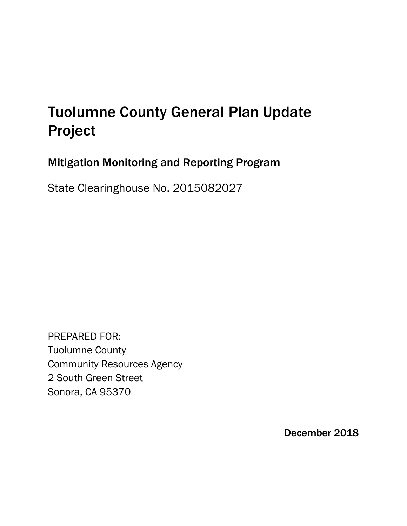# Tuolumne County General Plan Update Project

Mitigation Monitoring and Reporting Program

State Clearinghouse No. 2015082027

PREPARED FOR: Tuolumne County Community Resources Agency 2 South Green Street Sonora, CA 95370

December 2018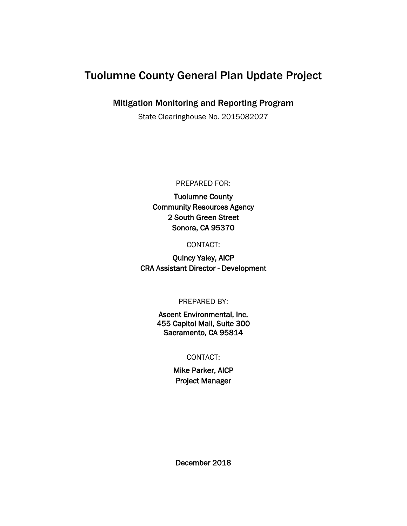# Tuolumne County General Plan Update Project

Mitigation Monitoring and Reporting Program

State Clearinghouse No. 2015082027

#### PREPARED FOR:

Tuolumne County Community Resources Agency 2 South Green Street Sonora, CA 95370

# CONTACT:

Quincy Yaley, AICP CRA Assistant Director - Development

### PREPARED BY:

Ascent Environmental, Inc. 455 Capitol Mall, Suite 300 Sacramento, CA 95814

# CONTACT:

Mike Parker, AICP Project Manager

December 2018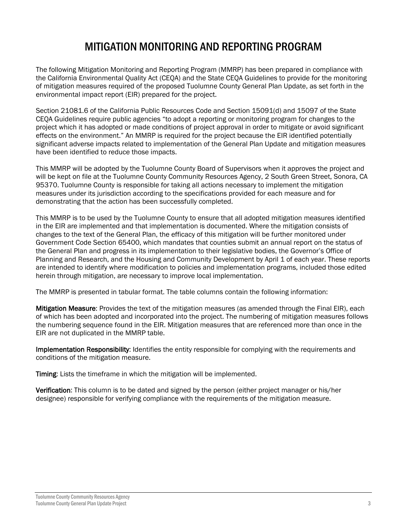# MITIGATION MONITORING AND REPORTING PROGRAM

The following Mitigation Monitoring and Reporting Program (MMRP) has been prepared in compliance with the California Environmental Quality Act (CEQA) and the State CEQA Guidelines to provide for the monitoring of mitigation measures required of the proposed Tuolumne County General Plan Update, as set forth in the environmental impact report (EIR) prepared for the project.

Section 21081.6 of the California Public Resources Code and Section 15091(d) and 15097 of the State CEQA Guidelines require public agencies "to adopt a reporting or monitoring program for changes to the project which it has adopted or made conditions of project approval in order to mitigate or avoid significant effects on the environment." An MMRP is required for the project because the EIR identified potentially significant adverse impacts related to implementation of the General Plan Update and mitigation measures have been identified to reduce those impacts.

This MMRP will be adopted by the Tuolumne County Board of Supervisors when it approves the project and will be kept on file at the Tuolumne County Community Resources Agency, 2 South Green Street, Sonora, CA 95370. Tuolumne County is responsible for taking all actions necessary to implement the mitigation measures under its jurisdiction according to the specifications provided for each measure and for demonstrating that the action has been successfully completed.

This MMRP is to be used by the Tuolumne County to ensure that all adopted mitigation measures identified in the EIR are implemented and that implementation is documented. Where the mitigation consists of changes to the text of the General Plan, the efficacy of this mitigation will be further monitored under Government Code Section 65400, which mandates that counties submit an annual report on the status of the General Plan and progress in its implementation to their legislative bodies, the Governor's Office of Planning and Research, and the Housing and Community Development by April 1 of each year. These reports are intended to identify where modification to policies and implementation programs, included those edited herein through mitigation, are necessary to improve local implementation.

The MMRP is presented in tabular format. The table columns contain the following information:

**Mitigation Measure:** Provides the text of the mitigation measures (as amended through the Final EIR), each of which has been adopted and incorporated into the project. The numbering of mitigation measures follows the numbering sequence found in the EIR. Mitigation measures that are referenced more than once in the EIR are not duplicated in the MMRP table.

Implementation Responsibility: Identifies the entity responsible for complying with the requirements and conditions of the mitigation measure.

Timing: Lists the timeframe in which the mitigation will be implemented.

Verification: This column is to be dated and signed by the person (either project manager or his/her designee) responsible for verifying compliance with the requirements of the mitigation measure.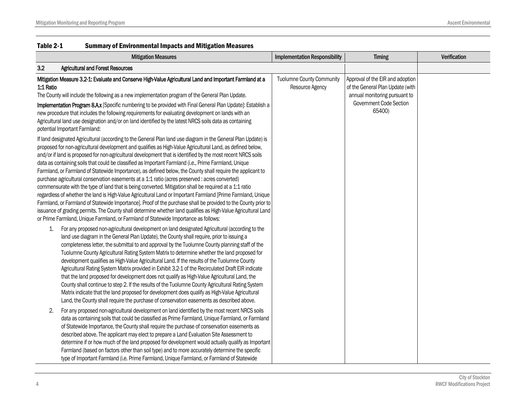| <b>Mitigation Measures</b>                                                                                                                                                                                                                                                                                                                                                                                                                                                                                                                                                                                                                                                                                                                                                                                                                                                                                                                                                                                                                                                                                                                                                                                                    | <b>Implementation Responsibility</b>                | <b>Timing</b>                                                                                                                              | Verification |
|-------------------------------------------------------------------------------------------------------------------------------------------------------------------------------------------------------------------------------------------------------------------------------------------------------------------------------------------------------------------------------------------------------------------------------------------------------------------------------------------------------------------------------------------------------------------------------------------------------------------------------------------------------------------------------------------------------------------------------------------------------------------------------------------------------------------------------------------------------------------------------------------------------------------------------------------------------------------------------------------------------------------------------------------------------------------------------------------------------------------------------------------------------------------------------------------------------------------------------|-----------------------------------------------------|--------------------------------------------------------------------------------------------------------------------------------------------|--------------|
| 3.2<br><b>Agricultural and Forest Resources</b>                                                                                                                                                                                                                                                                                                                                                                                                                                                                                                                                                                                                                                                                                                                                                                                                                                                                                                                                                                                                                                                                                                                                                                               |                                                     |                                                                                                                                            |              |
| Mitigation Measure 3.2-1: Evaluate and Conserve High-Value Agricultural Land and Important Farmland at a<br>1:1 Ratio<br>The County will include the following as a new implementation program of the General Plan Update.<br>Implementation Program 8.A.x [Specific numbering to be provided with Final General Plan Update]: Establish a<br>new procedure that includes the following requirements for evaluating development on lands with an<br>Agricultural land use designation and/or on land identified by the latest NRCS soils data as containing<br>potential Important Farmland:                                                                                                                                                                                                                                                                                                                                                                                                                                                                                                                                                                                                                                  | <b>Tuolumne County Community</b><br>Resource Agency | Approval of the EIR and adoption<br>of the General Plan Update (with<br>annual monitoring pursuant to<br>Government Code Section<br>65400) |              |
| If land designated Agricultural (according to the General Plan land use diagram in the General Plan Update) is<br>proposed for non-agricultural development and qualifies as High-Value Agricultural Land, as defined below,<br>and/or if land is proposed for non-agricultural development that is identified by the most recent NRCS soils<br>data as containing soils that could be classified as Important Farmland (i.e., Prime Farmland, Unique<br>Farmland, or Farmland of Statewide Importance), as defined below, the County shall require the applicant to<br>purchase agricultural conservation easements at a 1:1 ratio (acres preserved : acres converted)<br>commensurate with the type of land that is being converted. Mitigation shall be required at a 1:1 ratio<br>regardless of whether the land is High-Value Agricultural Land or Important Farmland [Prime Farmland, Unique<br>Farmland, or Farmland of Statewide Importance]. Proof of the purchase shall be provided to the County prior to<br>issuance of grading permits. The County shall determine whether land qualifies as High-Value Agricultural Land<br>or Prime Farmland, Unique Farmland, or Farmland of Statewide Importance as follows: |                                                     |                                                                                                                                            |              |
| For any proposed non-agricultural development on land designated Agricultural (according to the<br>1.<br>land use diagram in the General Plan Update), the County shall require, prior to issuing a<br>completeness letter, the submittal to and approval by the Tuolumne County planning staff of the<br>Tuolumne County Agricultural Rating System Matrix to determine whether the land proposed for<br>development qualifies as High-Value Agricultural Land. If the results of the Tuolumne County<br>Agricultural Rating System Matrix provided in Exhibit 3.2-1 of the Recirculated Draft EIR indicate<br>that the land proposed for development does not qualify as High-Value Agricultural Land, the<br>County shall continue to step 2. If the results of the Tuolumne County Agricultural Rating System<br>Matrix indicate that the land proposed for development does qualify as High-Value Agricultural<br>Land, the County shall require the purchase of conservation easements as described above.                                                                                                                                                                                                              |                                                     |                                                                                                                                            |              |
| For any proposed non-agricultural development on land identified by the most recent NRCS soils<br>2.<br>data as containing soils that could be classified as Prime Farmland, Unique Farmland, or Farmland<br>of Statewide Importance, the County shall require the purchase of conservation easements as<br>described above. The applicant may elect to prepare a Land Evaluation Site Assessment to<br>determine if or how much of the land proposed for development would actually qualify as Important<br>Farmland (based on factors other than soil type) and to more accurately determine the specific<br>type of Important Farmland (i.e. Prime Farmland, Unique Farmland, or Farmland of Statewide                                                                                                                                                                                                                                                                                                                                                                                                                                                                                                                     |                                                     |                                                                                                                                            |              |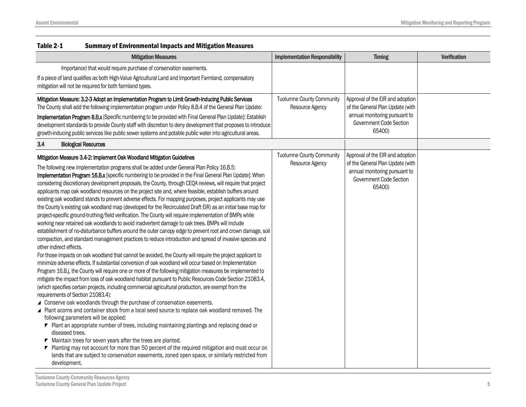| LANIC 4-1<br>Julilliary of Environmental Impacts and Mitigation Measures                                                                                                                                                                                                                                                                                                                                                                                                                                                                                                                                                                                                                                                                                                                                                                                                                                                                                                                                                                                                                                                                                                                                                                                                                                                                                                                                                                                                                                                                                                                                                                                                                                                                                                                                                                                                                                                                                                                                                                                                                                                                                                                                                                                                                                                                                                                                                                      |                                                     |                                                                                                                                            |              |
|-----------------------------------------------------------------------------------------------------------------------------------------------------------------------------------------------------------------------------------------------------------------------------------------------------------------------------------------------------------------------------------------------------------------------------------------------------------------------------------------------------------------------------------------------------------------------------------------------------------------------------------------------------------------------------------------------------------------------------------------------------------------------------------------------------------------------------------------------------------------------------------------------------------------------------------------------------------------------------------------------------------------------------------------------------------------------------------------------------------------------------------------------------------------------------------------------------------------------------------------------------------------------------------------------------------------------------------------------------------------------------------------------------------------------------------------------------------------------------------------------------------------------------------------------------------------------------------------------------------------------------------------------------------------------------------------------------------------------------------------------------------------------------------------------------------------------------------------------------------------------------------------------------------------------------------------------------------------------------------------------------------------------------------------------------------------------------------------------------------------------------------------------------------------------------------------------------------------------------------------------------------------------------------------------------------------------------------------------------------------------------------------------------------------------------------------------|-----------------------------------------------------|--------------------------------------------------------------------------------------------------------------------------------------------|--------------|
| <b>Mitigation Measures</b>                                                                                                                                                                                                                                                                                                                                                                                                                                                                                                                                                                                                                                                                                                                                                                                                                                                                                                                                                                                                                                                                                                                                                                                                                                                                                                                                                                                                                                                                                                                                                                                                                                                                                                                                                                                                                                                                                                                                                                                                                                                                                                                                                                                                                                                                                                                                                                                                                    | <b>Implementation Responsibility</b>                | <b>Timing</b>                                                                                                                              | Verification |
| Importance) that would require purchase of conservation easements.<br>If a piece of land qualifies as both High-Value Agricultural Land and Important Farmland, compensatory<br>mitigation will not be required for both farmland types.                                                                                                                                                                                                                                                                                                                                                                                                                                                                                                                                                                                                                                                                                                                                                                                                                                                                                                                                                                                                                                                                                                                                                                                                                                                                                                                                                                                                                                                                                                                                                                                                                                                                                                                                                                                                                                                                                                                                                                                                                                                                                                                                                                                                      |                                                     |                                                                                                                                            |              |
| Mitigation Measure: 3.2-3 Adopt an Implementation Program to Limit Growth-Inducing Public Services<br>The County shall add the following implementation program under Policy 8.B.4 of the General Plan Update:<br>Implementation Program 8.B.x [Specific numbering to be provided with Final General Plan Update]: Establish<br>development standards to provide County staff with discretion to deny development that proposes to introduce<br>growth-inducing public services like public sewer systems and potable public water into agricultural areas.                                                                                                                                                                                                                                                                                                                                                                                                                                                                                                                                                                                                                                                                                                                                                                                                                                                                                                                                                                                                                                                                                                                                                                                                                                                                                                                                                                                                                                                                                                                                                                                                                                                                                                                                                                                                                                                                                   | <b>Tuolumne County Community</b><br>Resource Agency | Approval of the EIR and adoption<br>of the General Plan Update (with<br>annual monitoring pursuant to<br>Government Code Section<br>65400) |              |
| 3.4<br><b>Biological Resources</b>                                                                                                                                                                                                                                                                                                                                                                                                                                                                                                                                                                                                                                                                                                                                                                                                                                                                                                                                                                                                                                                                                                                                                                                                                                                                                                                                                                                                                                                                                                                                                                                                                                                                                                                                                                                                                                                                                                                                                                                                                                                                                                                                                                                                                                                                                                                                                                                                            |                                                     |                                                                                                                                            |              |
| Mitigation Measure 3.4-2: Implement Oak Woodland Mitigation Guidelines<br>The following new implementation programs shall be added under General Plan Policy 16.B.5:<br>Implementation Program 16.Bx [specific numbering to be provided in the Final General Plan Update]: When<br>considering discretionary development proposals, the County, through CEQA reviews, will require that project<br>applicants map oak woodland resources on the project site and, where feasible, establish buffers around<br>existing oak woodland stands to prevent adverse effects. For mapping purposes, project applicants may use<br>the County's existing oak woodland map (developed for the Recirculated Draft EIR) as an initial base map for<br>project-specific ground-truthing/field verification. The County will require implementation of BMPs while<br>working near retained oak woodlands to avoid inadvertent damage to oak trees. BMPs will include<br>establishment of no-disturbance buffers around the outer canopy edge to prevent root and crown damage, soil<br>compaction, and standard management practices to reduce introduction and spread of invasive species and<br>other indirect effects.<br>For those impacts on oak woodland that cannot be avoided, the County will require the project applicant to<br>minimize adverse effects. If substantial conversion of oak woodland will occur based on Implementation<br>Program 16.B.j, the County will require one or more of the following mitigation measures be implemented to<br>mitigate the impact from loss of oak woodland habitat pursuant to Public Resources Code Section 21083.4,<br>(which specifies certain projects, including commercial agricultural production, are exempt from the<br>requirements of Section 21083.4):<br>▲ Conserve oak woodlands through the purchase of conservation easements.<br>▲ Plant acorns and container stock from a local seed source to replace oak woodland removed. The<br>following parameters will be applied:<br>▼ Plant an appropriate number of trees, including maintaining plantings and replacing dead or<br>diseased trees.<br>Maintain trees for seven years after the trees are planted.<br>Planting may not account for more than 50 percent of the required mitigation and must occur on<br>lands that are subject to conservation easements, zoned open space, or similarly restricted from<br>development. | <b>Tuolumne County Community</b><br>Resource Agency | Approval of the EIR and adoption<br>of the General Plan Update (with<br>annual monitoring pursuant to<br>Government Code Section<br>65400) |              |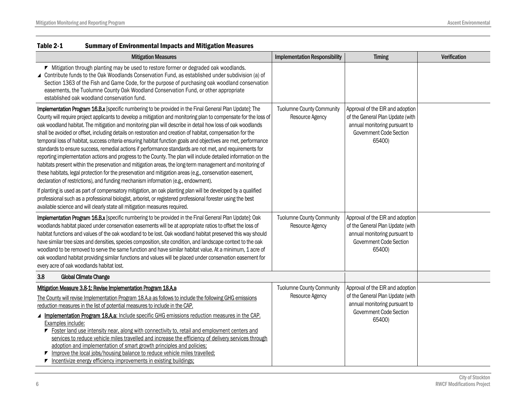| Table 2-1              | <b>Summary of Environmental Impacts and Mitigation Measures</b>                                                                                                                                                                                                                                                                                                                                                                                                                                                                                                                                                                                                                                                                                                                                                                                                                                                                                                                                                                                                                                                        |                                                     |                                                                                                                                            |              |
|------------------------|------------------------------------------------------------------------------------------------------------------------------------------------------------------------------------------------------------------------------------------------------------------------------------------------------------------------------------------------------------------------------------------------------------------------------------------------------------------------------------------------------------------------------------------------------------------------------------------------------------------------------------------------------------------------------------------------------------------------------------------------------------------------------------------------------------------------------------------------------------------------------------------------------------------------------------------------------------------------------------------------------------------------------------------------------------------------------------------------------------------------|-----------------------------------------------------|--------------------------------------------------------------------------------------------------------------------------------------------|--------------|
|                        | <b>Mitigation Measures</b>                                                                                                                                                                                                                                                                                                                                                                                                                                                                                                                                                                                                                                                                                                                                                                                                                                                                                                                                                                                                                                                                                             | <b>Implementation Responsibility</b>                | <b>Timing</b>                                                                                                                              | Verification |
|                        | ▼ Mitigation through planting may be used to restore former or degraded oak woodlands.<br>△ Contribute funds to the Oak Woodlands Conservation Fund, as established under subdivision (a) of<br>Section 1363 of the Fish and Game Code, for the purpose of purchasing oak woodland conservation<br>easements, the Tuolumne County Oak Woodland Conservation Fund, or other appropriate<br>established oak woodland conservation fund.                                                                                                                                                                                                                                                                                                                                                                                                                                                                                                                                                                                                                                                                                  |                                                     |                                                                                                                                            |              |
|                        | Implementation Program 16.B.x [specific numbering to be provided in the Final General Plan Update]: The<br>County will require project applicants to develop a mitigation and monitoring plan to compensate for the loss of<br>oak woodland habitat. The mitigation and monitoring plan will describe in detail how loss of oak woodlands<br>shall be avoided or offset, including details on restoration and creation of habitat, compensation for the<br>temporal loss of habitat, success criteria ensuring habitat function goals and objectives are met, performance<br>standards to ensure success, remedial actions if performance standards are not met, and requirements for<br>reporting implementation actions and progress to the County. The plan will include detailed information on the<br>habitats present within the preservation and mitigation areas, the long-term management and monitoring of<br>these habitats, legal protection for the preservation and mitigation areas (e.g., conservation easement,<br>declaration of restrictions), and funding mechanism information (e.g., endowment). | <b>Tuolumne County Community</b><br>Resource Agency | Approval of the EIR and adoption<br>of the General Plan Update (with<br>annual monitoring pursuant to<br>Government Code Section<br>65400) |              |
|                        | If planting is used as part of compensatory mitigation, an oak planting plan will be developed by a qualified<br>professional such as a professional biologist, arborist, or registered professional forester using the best<br>available science and will clearly state all mitigation measures required.                                                                                                                                                                                                                                                                                                                                                                                                                                                                                                                                                                                                                                                                                                                                                                                                             |                                                     |                                                                                                                                            |              |
|                        | Implementation Program 16.B.x [specific numbering to be provided in the Final General Plan Update]: Oak<br>woodlands habitat placed under conservation easements will be at appropriate ratios to offset the loss of<br>habitat functions and values of the oak woodland to be lost. Oak woodland habitat preserved this way should<br>have similar tree sizes and densities, species composition, site condition, and landscape context to the oak<br>woodland to be removed to serve the same function and have similar habitat value. At a minimum, 1 acre of<br>oak woodland habitat providing similar functions and values will be placed under conservation easement for<br>every acre of oak woodlands habitat lost.                                                                                                                                                                                                                                                                                                                                                                                            | <b>Tuolumne County Community</b><br>Resource Agency | Approval of the EIR and adoption<br>of the General Plan Update (with<br>annual monitoring pursuant to<br>Government Code Section<br>65400) |              |
| 3.8                    | <b>Global Climate Change</b>                                                                                                                                                                                                                                                                                                                                                                                                                                                                                                                                                                                                                                                                                                                                                                                                                                                                                                                                                                                                                                                                                           |                                                     |                                                                                                                                            |              |
| Examples include:<br>▼ | Mitigation Measure 3.8-1: Revise Implementation Program 18.A.a<br>The County will revise Implementation Program 18.A.a as follows to include the following GHG emissions<br>reduction measures in the list of potential measures to include in the CAP.<br>⊿ Implementation Program 18.A.a: Include specific GHG emissions reduction measures in the CAP.<br>Foster land use intensity near, along with connectivity to, retail and employment centers and<br>services to reduce vehicle miles travelled and increase the efficiency of delivery services through<br>adoption and implementation of smart growth principles and policies;<br>Improve the local jobs/housing balance to reduce vehicle miles travelled;<br>▼ Incentivize energy efficiency improvements in existing buildings;                                                                                                                                                                                                                                                                                                                          | <b>Tuolumne County Community</b><br>Resource Agency | Approval of the EIR and adoption<br>of the General Plan Update (with<br>annual monitoring pursuant to<br>Government Code Section<br>65400) |              |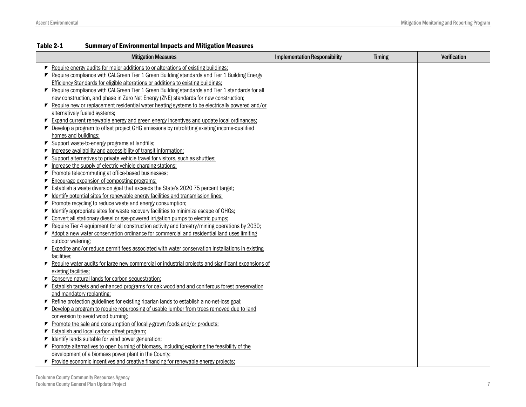|   | <b>Mitigation Measures</b>                                                                           | <b>Implementation Responsibility</b> | <b>Timing</b> | <b>Verification</b> |
|---|------------------------------------------------------------------------------------------------------|--------------------------------------|---------------|---------------------|
|   | ► Require energy audits for major additions to or alterations of existing buildings:                 |                                      |               |                     |
|   | ▼ Require compliance with CALGreen Tier 1 Green Building standards and Tier 1 Building Energy        |                                      |               |                     |
|   | Efficiency Standards for eligible alterations or additions to existing buildings;                    |                                      |               |                     |
|   | ▼ Require compliance with CALGreen Tier 1 Green Building standards and Tier 1 standards for all      |                                      |               |                     |
|   | new construction, and phase in Zero Net Energy (ZNE) standards for new construction:                 |                                      |               |                     |
|   | Require new or replacement residential water heating systems to be electrically powered and/or       |                                      |               |                     |
|   | alternatively fueled systems;                                                                        |                                      |               |                     |
|   | ► Expand current renewable energy and green energy incentives and update local ordinances;           |                                      |               |                     |
|   | Develop a program to offset project GHG emissions by retrofitting existing income-qualified          |                                      |               |                     |
|   | homes and buildings;                                                                                 |                                      |               |                     |
|   | ▼ Support waste-to-energy programs at landfills;                                                     |                                      |               |                     |
|   | Increase availability and accessibility of transit information;                                      |                                      |               |                     |
| ▼ | Support alternatives to private vehicle travel for visitors, such as shuttles;                       |                                      |               |                     |
|   | Increase the supply of electric vehicle charging stations:                                           |                                      |               |                     |
|   | Promote telecommuting at office-based businesses;                                                    |                                      |               |                     |
|   | Encourage expansion of composting programs;                                                          |                                      |               |                     |
|   | Establish a waste diversion goal that exceeds the State's 2020 75 percent target;                    |                                      |               |                     |
|   | Identify potential sites for renewable energy facilities and transmission lines;                     |                                      |               |                     |
|   | Promote recycling to reduce waste and energy consumption;                                            |                                      |               |                     |
|   | Identify appropriate sites for waste recovery facilities to minimize escape of GHGs;                 |                                      |               |                     |
|   | Convert all stationary diesel or gas-powered irrigation pumps to electric pumps;                     |                                      |               |                     |
|   | Require Tier 4 equipment for all construction activity and forestry/mining operations by 2030;       |                                      |               |                     |
|   | ▼ Adopt a new water conservation ordinance for commercial and residential land uses limiting         |                                      |               |                     |
|   | outdoor watering:                                                                                    |                                      |               |                     |
|   | Expedite and/or reduce permit fees associated with water conservation installations in existing      |                                      |               |                     |
|   | facilities:                                                                                          |                                      |               |                     |
|   | ► Require water audits for large new commercial or industrial projects and significant expansions of |                                      |               |                     |
|   | existing facilities;                                                                                 |                                      |               |                     |
|   | ▼ Conserve natural lands for carbon sequestration;                                                   |                                      |               |                     |
|   | ► Establish targets and enhanced programs for oak woodland and coniferous forest preservation        |                                      |               |                     |
|   | and mandatory replanting:                                                                            |                                      |               |                     |
|   | ▼ Refine protection guidelines for existing riparian lands to establish a no-net-loss goal;          |                                      |               |                     |
|   | ▼ Develop a program to require repurposing of usable lumber from trees removed due to land           |                                      |               |                     |
|   | conversion to avoid wood burning:                                                                    |                                      |               |                     |
|   | ▼ Promote the sale and consumption of locally-grown foods and/or products:                           |                                      |               |                     |
|   | Establish and local carbon offset program;                                                           |                                      |               |                     |
|   | Identify lands suitable for wind power generation;                                                   |                                      |               |                     |
|   | ▼ Promote alternatives to open burning of biomass, including exploring the feasibility of the        |                                      |               |                     |
|   | development of a biomass power plant in the County:                                                  |                                      |               |                     |
|   | Provide economic incentives and creative financing for renewable energy projects;                    |                                      |               |                     |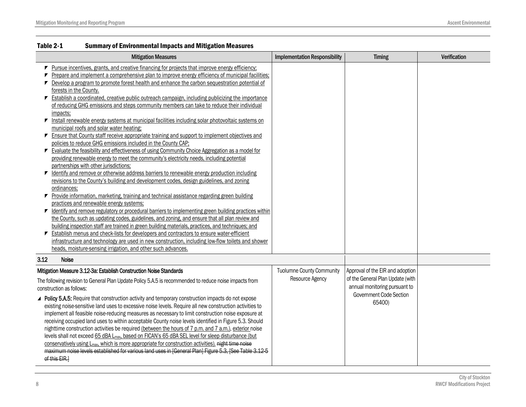|      | <b>Mitigation Measures</b>                                                                                                                                                                                            | <b>Implementation Responsibility</b> | <b>Timing</b>                    | Verification |
|------|-----------------------------------------------------------------------------------------------------------------------------------------------------------------------------------------------------------------------|--------------------------------------|----------------------------------|--------------|
|      | ▼ Pursue incentives, grants, and creative financing for projects that improve energy efficiency;                                                                                                                      |                                      |                                  |              |
|      | Prepare and implement a comprehensive plan to improve energy efficiency of municipal facilities;                                                                                                                      |                                      |                                  |              |
| ▼    | Develop a program to promote forest health and enhance the carbon sequestration potential of                                                                                                                          |                                      |                                  |              |
|      | forests in the County.                                                                                                                                                                                                |                                      |                                  |              |
| ▼    | Establish a coordinated, creative public outreach campaign, including publicizing the importance                                                                                                                      |                                      |                                  |              |
|      | of reducing GHG emissions and steps community members can take to reduce their individual                                                                                                                             |                                      |                                  |              |
|      | impacts;                                                                                                                                                                                                              |                                      |                                  |              |
|      | ▼ Install renewable energy systems at municipal facilities including solar photovoltaic systems on                                                                                                                    |                                      |                                  |              |
|      | municipal roofs and solar water heating:                                                                                                                                                                              |                                      |                                  |              |
|      | Ensure that County staff receive appropriate training and support to implement objectives and                                                                                                                         |                                      |                                  |              |
|      | policies to reduce GHG emissions included in the County CAP;                                                                                                                                                          |                                      |                                  |              |
|      | ▼ Evaluate the feasibility and effectiveness of using Community Choice Aggregation as a model for                                                                                                                     |                                      |                                  |              |
|      | providing renewable energy to meet the community's electricity needs, including potential                                                                                                                             |                                      |                                  |              |
|      | partnerships with other jurisdictions;                                                                                                                                                                                |                                      |                                  |              |
|      | Identify and remove or otherwise address barriers to renewable energy production including<br>revisions to the County's building and development codes, design guidelines, and zoning                                 |                                      |                                  |              |
|      | ordinances;                                                                                                                                                                                                           |                                      |                                  |              |
|      | ▼ Provide information, marketing, training and technical assistance regarding green building                                                                                                                          |                                      |                                  |              |
|      | practices and renewable energy systems;                                                                                                                                                                               |                                      |                                  |              |
|      | Identify and remove regulatory or procedural barriers to implementing green building practices within                                                                                                                 |                                      |                                  |              |
|      | the County, such as updating codes, guidelines, and zoning, and ensure that all plan review and                                                                                                                       |                                      |                                  |              |
|      | building inspection staff are trained in green building materials, practices, and techniques; and                                                                                                                     |                                      |                                  |              |
|      | Establish menus and check-lists for developers and contractors to ensure water-efficient                                                                                                                              |                                      |                                  |              |
|      | infrastructure and technology are used in new construction, including low-flow toilets and shower                                                                                                                     |                                      |                                  |              |
|      | heads, moisture-sensing irrigation, and other such advances.                                                                                                                                                          |                                      |                                  |              |
| 3.12 | <b>Noise</b>                                                                                                                                                                                                          |                                      |                                  |              |
|      | Mitigation Measure 3.12-3a: Establish Construction Noise Standards                                                                                                                                                    | <b>Tuolumne County Community</b>     | Approval of the EIR and adoption |              |
|      |                                                                                                                                                                                                                       | Resource Agency                      | of the General Plan Update (with |              |
|      | The following revision to General Plan Update Policy 5.A.5 is recommended to reduce noise impacts from                                                                                                                |                                      | annual monitoring pursuant to    |              |
|      | construction as follows:                                                                                                                                                                                              |                                      | Government Code Section          |              |
|      | ▲ Policy 5.A.5: Require that construction activity and temporary construction impacts do not expose                                                                                                                   |                                      | 65400)                           |              |
|      | existing noise-sensitive land uses to excessive noise levels. Require all new construction activities to                                                                                                              |                                      |                                  |              |
|      | implement all feasible noise-reducing measures as necessary to limit construction noise exposure at                                                                                                                   |                                      |                                  |              |
|      | receiving occupied land uses to within acceptable County noise levels identified in Figure 5.3. Should                                                                                                                |                                      |                                  |              |
|      | nighttime construction activities be required (between the hours of 7 p.m. and 7 a.m.), exterior noise                                                                                                                |                                      |                                  |              |
|      | levels shall not exceed 65 dBA Lmax, based on FICAN's 65 dBA SEL level for sleep disturbance (but<br>conservatively using L <sub>max</sub> , which is more appropriate for construction activities), night time noise |                                      |                                  |              |
|      | maximum noise levels established for various land uses in [General Plan] Figure 5.3, [See Table 3.12-5                                                                                                                |                                      |                                  |              |
|      | of this EIR.                                                                                                                                                                                                          |                                      |                                  |              |
|      |                                                                                                                                                                                                                       |                                      |                                  |              |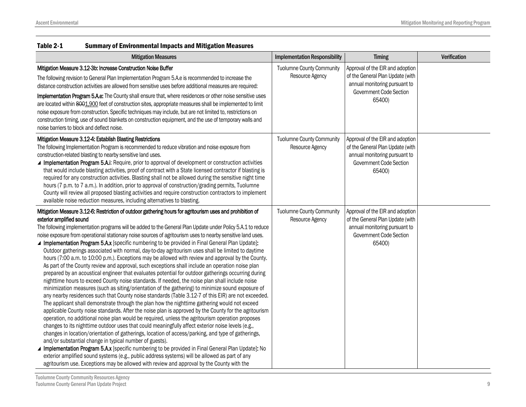| <b>Mitigation Measures</b>                                                                                                                                                                                                                                                                                                                                                                                                                                                                                                                                                                                                                                                                                                                                                                                                                                                                                                                                                                                                                                                                                                                                                                                                                                                                                                                                                                                                                                                                                                                                                                                                                                                                                                                                                                                                                                                                                                                                                                                                                                                                               | <b>Implementation Responsibility</b>                | <b>Timing</b>                                                                                                                              | Verification |
|----------------------------------------------------------------------------------------------------------------------------------------------------------------------------------------------------------------------------------------------------------------------------------------------------------------------------------------------------------------------------------------------------------------------------------------------------------------------------------------------------------------------------------------------------------------------------------------------------------------------------------------------------------------------------------------------------------------------------------------------------------------------------------------------------------------------------------------------------------------------------------------------------------------------------------------------------------------------------------------------------------------------------------------------------------------------------------------------------------------------------------------------------------------------------------------------------------------------------------------------------------------------------------------------------------------------------------------------------------------------------------------------------------------------------------------------------------------------------------------------------------------------------------------------------------------------------------------------------------------------------------------------------------------------------------------------------------------------------------------------------------------------------------------------------------------------------------------------------------------------------------------------------------------------------------------------------------------------------------------------------------------------------------------------------------------------------------------------------------|-----------------------------------------------------|--------------------------------------------------------------------------------------------------------------------------------------------|--------------|
| Mitigation Measure 3.12-3b: Increase Construction Noise Buffer<br>The following revision to General Plan Implementation Program 5.A.e is recommended to increase the<br>distance construction activities are allowed from sensitive uses before additional measures are required:<br>Implementation Program 5.A.e: The County shall ensure that, where residences or other noise sensitive uses<br>are located within 8001.900 feet of construction sites, appropriate measures shall be implemented to limit<br>noise exposure from construction. Specific techniques may include, but are not limited to, restrictions on<br>construction timing, use of sound blankets on construction equipment, and the use of temporary walls and<br>noise barriers to block and deflect noise.                                                                                                                                                                                                                                                                                                                                                                                                                                                                                                                                                                                                                                                                                                                                                                                                                                                                                                                                                                                                                                                                                                                                                                                                                                                                                                                    | <b>Tuolumne County Community</b><br>Resource Agency | Approval of the EIR and adoption<br>of the General Plan Update (with<br>annual monitoring pursuant to<br>Government Code Section<br>65400) |              |
| Mitigation Measure 3.12-4: Establish Blasting Restrictions<br>The following Implementation Program is recommended to reduce vibration and noise exposure from<br>construction-related blasting to nearby sensitive land uses.<br>▲ Implementation Program 5.A.i: Require, prior to approval of development or construction activities<br>that would include blasting activities, proof of contract with a State licensed contractor if blasting is<br>required for any construction activities. Blasting shall not be allowed during the sensitive night time<br>hours (7 p.m. to 7 a.m.). In addition, prior to approval of construction/grading permits, Tuolumne<br>County will review all proposed blasting activities and require construction contractors to implement<br>available noise reduction measures, including alternatives to blasting.                                                                                                                                                                                                                                                                                                                                                                                                                                                                                                                                                                                                                                                                                                                                                                                                                                                                                                                                                                                                                                                                                                                                                                                                                                                  | <b>Tuolumne County Community</b><br>Resource Agency | Approval of the EIR and adoption<br>of the General Plan Update (with<br>annual monitoring pursuant to<br>Government Code Section<br>65400) |              |
| Mitigation Measure 3.12-6: Restriction of outdoor gathering hours for agritourism uses and prohibition of<br>exterior amplified sound<br>The following implementation programs will be added to the General Plan Update under Policy 5.A.1 to reduce<br>noise exposure from operational stationary noise sources of agritourism uses to nearby sensitive land uses.<br>▲ Implementation Program 5.A.x [specific numbering to be provided in Final General Plan Update]:<br>Outdoor gatherings associated with normal, day-to-day agritourism uses shall be limited to daytime<br>hours (7:00 a.m. to 10:00 p.m.). Exceptions may be allowed with review and approval by the County.<br>As part of the County review and approval, such exceptions shall include an operation noise plan<br>prepared by an acoustical engineer that evaluates potential for outdoor gatherings occurring during<br>nighttime hours to exceed County noise standards. If needed, the noise plan shall include noise<br>minimization measures (such as siting/orientation of the gathering) to minimize sound exposure of<br>any nearby residences such that County noise standards (Table 3.12-7 of this EIR) are not exceeded.<br>The applicant shall demonstrate through the plan how the nighttime gathering would not exceed<br>applicable County noise standards. After the noise plan is approved by the County for the agritourism<br>operation, no additional noise plan would be required, unless the agritourism operation proposes<br>changes to its nighttime outdoor uses that could meaningfully affect exterior noise levels (e.g.,<br>changes in location/orientation of gatherings, location of access/parking, and type of gatherings,<br>and/or substantial change in typical number of guests).<br>▲ Implementation Program 5.A.x [specific numbering to be provided in Final General Plan Update]: No<br>exterior amplified sound systems (e.g., public address systems) will be allowed as part of any<br>agritourism use. Exceptions may be allowed with review and approval by the County with the | <b>Tuolumne County Community</b><br>Resource Agency | Approval of the EIR and adoption<br>of the General Plan Update (with<br>annual monitoring pursuant to<br>Government Code Section<br>65400) |              |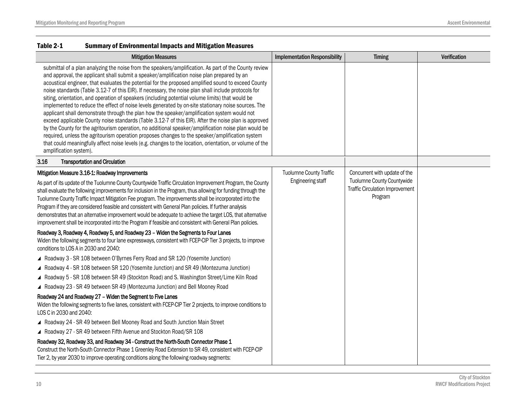| <b>Mitigation Measures</b>                                                                                                                                                                                                                                                                                                                                                                                                                                                                                                                                                                                                                                                                                                                                                                                                                                                                                                                                                                                                                                                                                                                                                             | <b>Implementation Responsibility</b>                | <b>Timing</b>                                                                                                    | Verification |  |
|----------------------------------------------------------------------------------------------------------------------------------------------------------------------------------------------------------------------------------------------------------------------------------------------------------------------------------------------------------------------------------------------------------------------------------------------------------------------------------------------------------------------------------------------------------------------------------------------------------------------------------------------------------------------------------------------------------------------------------------------------------------------------------------------------------------------------------------------------------------------------------------------------------------------------------------------------------------------------------------------------------------------------------------------------------------------------------------------------------------------------------------------------------------------------------------|-----------------------------------------------------|------------------------------------------------------------------------------------------------------------------|--------------|--|
| submittal of a plan analyzing the noise from the speakers/amplification. As part of the County review<br>and approval, the applicant shall submit a speaker/amplification noise plan prepared by an<br>acoustical engineer, that evaluates the potential for the proposed amplified sound to exceed County<br>noise standards (Table 3.12-7 of this EIR). If necessary, the noise plan shall include protocols for<br>siting, orientation, and operation of speakers (including potential volume limits) that would be<br>implemented to reduce the effect of noise levels generated by on-site stationary noise sources. The<br>applicant shall demonstrate through the plan how the speaker/amplification system would not<br>exceed applicable County noise standards (Table 3.12-7 of this EIR). After the noise plan is approved<br>by the County for the agritourism operation, no additional speaker/amplification noise plan would be<br>required, unless the agritourism operation proposes changes to the speaker/amplification system<br>that could meaningfully affect noise levels (e.g. changes to the location, orientation, or volume of the<br>amplification system). |                                                     |                                                                                                                  |              |  |
| 3.16<br><b>Transportation and Circulation</b>                                                                                                                                                                                                                                                                                                                                                                                                                                                                                                                                                                                                                                                                                                                                                                                                                                                                                                                                                                                                                                                                                                                                          |                                                     |                                                                                                                  |              |  |
| Mitigation Measure 3.16-1: Roadway Improvements<br>As part of its update of the Tuolumne County Countywide Traffic Circulation Improvement Program, the County<br>shall evaluate the following improvements for inclusion in the Program, thus allowing for funding through the<br>Tuolumne County Traffic Impact Mitigation Fee program. The improvements shall be incorporated into the<br>Program if they are considered feasible and consistent with General Plan policies. If further analysis<br>demonstrates that an alternative improvement would be adequate to achieve the target LOS, that alternative<br>improvement shall be incorporated into the Program if feasible and consistent with General Plan policies.                                                                                                                                                                                                                                                                                                                                                                                                                                                         | <b>Tuolumne County Traffic</b><br>Engineering staff | Concurrent with update of the<br>Tuolumne County Countywide<br><b>Traffic Circulation Improvement</b><br>Program |              |  |
| Roadway 3, Roadway 4, Roadway 5, and Roadway 23 - Widen the Segments to Four Lanes<br>Widen the following segments to four lane expressways, consistent with FCEP-CIP Tier 3 projects, to improve<br>conditions to LOS A in 2030 and 2040:                                                                                                                                                                                                                                                                                                                                                                                                                                                                                                                                                                                                                                                                                                                                                                                                                                                                                                                                             |                                                     |                                                                                                                  |              |  |
| ▲ Roadway 3 - SR 108 between O'Byrnes Ferry Road and SR 120 (Yosemite Junction)<br>▲ Roadway 4 - SR 108 between SR 120 (Yosemite Junction) and SR 49 (Montezuma Junction)                                                                                                                                                                                                                                                                                                                                                                                                                                                                                                                                                                                                                                                                                                                                                                                                                                                                                                                                                                                                              |                                                     |                                                                                                                  |              |  |
| ▲ Roadway 5 - SR 108 between SR 49 (Stockton Road) and S. Washington Street/Lime Kiln Road                                                                                                                                                                                                                                                                                                                                                                                                                                                                                                                                                                                                                                                                                                                                                                                                                                                                                                                                                                                                                                                                                             |                                                     |                                                                                                                  |              |  |
| ▲ Roadway 23 - SR 49 between SR 49 (Montezuma Junction) and Bell Mooney Road<br>Roadway 24 and Roadway 27 - Widen the Segment to Five Lanes<br>Widen the following segments to five lanes, consistent with FCEP-CIP Tier 2 projects, to improve conditions to<br>LOS C in 2030 and 2040:<br>▲ Roadway 24 - SR 49 between Bell Mooney Road and South Junction Main Street<br>▲ Roadway 27 - SR 49 between Fifth Avenue and Stockton Road/SR 108                                                                                                                                                                                                                                                                                                                                                                                                                                                                                                                                                                                                                                                                                                                                         |                                                     |                                                                                                                  |              |  |
| Roadway 32, Roadway 33, and Roadway 34 - Construct the North-South Connector Phase 1<br>Construct the North-South Connector Phase 1 Greenley Road Extension to SR 49, consistent with FCEP-CIP<br>Tier 2, by year 2030 to improve operating conditions along the following roadway segments:                                                                                                                                                                                                                                                                                                                                                                                                                                                                                                                                                                                                                                                                                                                                                                                                                                                                                           |                                                     |                                                                                                                  |              |  |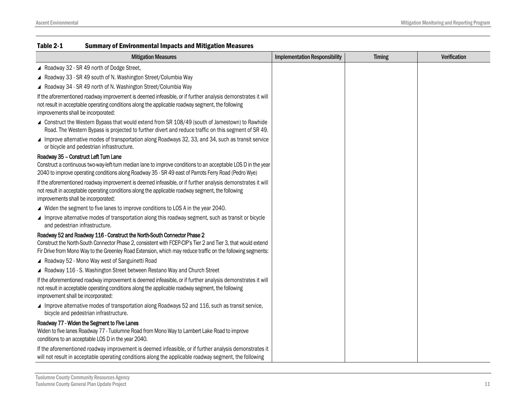| <b>Mitigation Measures</b>                                                                                                                                                                                                                                                                              | <b>Implementation Responsibility</b> | <b>Timing</b> | Verification |
|---------------------------------------------------------------------------------------------------------------------------------------------------------------------------------------------------------------------------------------------------------------------------------------------------------|--------------------------------------|---------------|--------------|
| ▲ Roadway 32 - SR 49 north of Dodge Street,                                                                                                                                                                                                                                                             |                                      |               |              |
| ▲ Roadway 33 - SR 49 south of N. Washington Street/Columbia Way                                                                                                                                                                                                                                         |                                      |               |              |
| ▲ Roadway 34 - SR 49 north of N. Washington Street/Columbia Way                                                                                                                                                                                                                                         |                                      |               |              |
| If the aforementioned roadway improvement is deemed infeasible, or if further analysis demonstrates it will<br>not result in acceptable operating conditions along the applicable roadway segment, the following<br>improvements shall be incorporated:                                                 |                                      |               |              |
| ▲ Construct the Western Bypass that would extend from SR 108/49 (south of Jamestown) to Rawhide<br>Road. The Western Bypass is projected to further divert and reduce traffic on this segment of SR 49.                                                                                                 |                                      |               |              |
| ■ Improve alternative modes of transportation along Roadways 32, 33, and 34, such as transit service<br>or bicycle and pedestrian infrastructure.                                                                                                                                                       |                                      |               |              |
| Roadway 35 - Construct Left Turn Lane                                                                                                                                                                                                                                                                   |                                      |               |              |
| Construct a continuous two-way-left-turn median lane to improve conditions to an acceptable LOS D in the year<br>2040 to improve operating conditions along Roadway 35 - SR 49 east of Parrots Ferry Road (Pedro Wye)                                                                                   |                                      |               |              |
| If the aforementioned roadway improvement is deemed infeasible, or if further analysis demonstrates it will<br>not result in acceptable operating conditions along the applicable roadway segment, the following<br>improvements shall be incorporated:                                                 |                                      |               |              |
| ■ Widen the segment to five lanes to improve conditions to LOS A in the year 2040.                                                                                                                                                                                                                      |                                      |               |              |
| ▲ Improve alternative modes of transportation along this roadway segment, such as transit or bicycle<br>and pedestrian infrastructure.                                                                                                                                                                  |                                      |               |              |
| Roadway 52 and Roadway 116 - Construct the North-South Connector Phase 2<br>Construct the North-South Connector Phase 2, consistent with FCEP-CIP's Tier 2 and Tier 3, that would extend<br>Fir Drive from Mono Way to the Greenley Road Extension, which may reduce traffic on the following segments: |                                      |               |              |
| ▲ Roadway 52 - Mono Way west of Sanguinetti Road                                                                                                                                                                                                                                                        |                                      |               |              |
| ▲ Roadway 116 - S. Washington Street between Restano Way and Church Street                                                                                                                                                                                                                              |                                      |               |              |
| If the aforementioned roadway improvement is deemed infeasible, or if further analysis demonstrates it will<br>not result in acceptable operating conditions along the applicable roadway segment, the following<br>improvement shall be incorporated:                                                  |                                      |               |              |
| ▲ Improve alternative modes of transportation along Roadways 52 and 116, such as transit service,<br>bicycle and pedestrian infrastructure.                                                                                                                                                             |                                      |               |              |
| Roadway 77 - Widen the Segment to Five Lanes<br>Widen to five lanes Roadway 77 - Tuolumne Road from Mono Way to Lambert Lake Road to improve<br>conditions to an acceptable LOS D in the year 2040.                                                                                                     |                                      |               |              |
| If the aforementioned roadway improvement is deemed infeasible, or if further analysis demonstrates it<br>will not result in acceptable operating conditions along the applicable roadway segment, the following                                                                                        |                                      |               |              |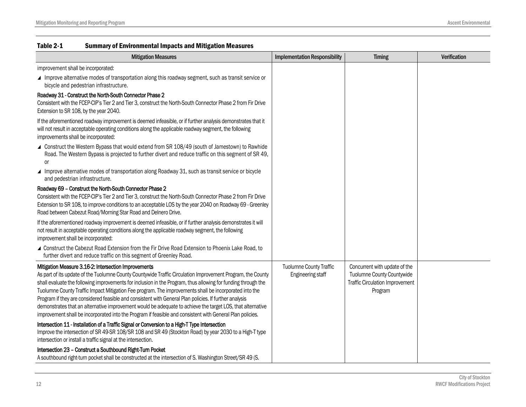| <b>Mitigation Measures</b>                                                                                                                                                                                                                                                                                                                                                                                                                                                                                                                                                                                                                                                                                                          | <b>Implementation Responsibility</b>                | <b>Timing</b>                                                                                                    | Verification |
|-------------------------------------------------------------------------------------------------------------------------------------------------------------------------------------------------------------------------------------------------------------------------------------------------------------------------------------------------------------------------------------------------------------------------------------------------------------------------------------------------------------------------------------------------------------------------------------------------------------------------------------------------------------------------------------------------------------------------------------|-----------------------------------------------------|------------------------------------------------------------------------------------------------------------------|--------------|
| improvement shall be incorporated:                                                                                                                                                                                                                                                                                                                                                                                                                                                                                                                                                                                                                                                                                                  |                                                     |                                                                                                                  |              |
| ▲ Improve alternative modes of transportation along this roadway segment, such as transit service or<br>bicycle and pedestrian infrastructure.                                                                                                                                                                                                                                                                                                                                                                                                                                                                                                                                                                                      |                                                     |                                                                                                                  |              |
| Roadway 31 - Construct the North-South Connector Phase 2<br>Consistent with the FCEP-CIP's Tier 2 and Tier 3, construct the North-South Connector Phase 2 from Fir Drive<br>Extension to SR 108, by the year 2040.                                                                                                                                                                                                                                                                                                                                                                                                                                                                                                                  |                                                     |                                                                                                                  |              |
| If the aforementioned roadway improvement is deemed infeasible, or if further analysis demonstrates that it<br>will not result in acceptable operating conditions along the applicable roadway segment, the following<br>improvements shall be incorporated:                                                                                                                                                                                                                                                                                                                                                                                                                                                                        |                                                     |                                                                                                                  |              |
| △ Construct the Western Bypass that would extend from SR 108/49 (south of Jamestown) to Rawhide<br>Road. The Western Bypass is projected to further divert and reduce traffic on this segment of SR 49,<br>or                                                                                                                                                                                                                                                                                                                                                                                                                                                                                                                       |                                                     |                                                                                                                  |              |
| ▲ Improve alternative modes of transportation along Roadway 31, such as transit service or bicycle<br>and pedestrian infrastructure.                                                                                                                                                                                                                                                                                                                                                                                                                                                                                                                                                                                                |                                                     |                                                                                                                  |              |
| Roadway 69 - Construct the North-South Connector Phase 2<br>Consistent with the FCEP-CIP's Tier 2 and Tier 3, construct the North-South Connector Phase 2 from Fir Drive<br>Extension to SR 108, to improve conditions to an acceptable LOS by the year 2040 on Roadway 69 - Greenley<br>Road between Cabezut Road/Morning Star Road and Delnero Drive.                                                                                                                                                                                                                                                                                                                                                                             |                                                     |                                                                                                                  |              |
| If the aforementioned roadway improvement is deemed infeasible, or if further analysis demonstrates it will<br>not result in acceptable operating conditions along the applicable roadway segment, the following<br>improvement shall be incorporated:                                                                                                                                                                                                                                                                                                                                                                                                                                                                              |                                                     |                                                                                                                  |              |
| ▲ Construct the Cabezut Road Extension from the Fir Drive Road Extension to Phoenix Lake Road, to<br>further divert and reduce traffic on this segment of Greenley Road.                                                                                                                                                                                                                                                                                                                                                                                                                                                                                                                                                            |                                                     |                                                                                                                  |              |
| Mitigation Measure 3.16-2: Intersection Improvements<br>As part of its update of the Tuolumne County Countywide Traffic Circulation Improvement Program, the County<br>shall evaluate the following improvements for inclusion in the Program, thus allowing for funding through the<br>Tuolumne County Traffic Impact Mitigation Fee program. The improvements shall be incorporated into the<br>Program if they are considered feasible and consistent with General Plan policies. If further analysis<br>demonstrates that an alternative improvement would be adequate to achieve the target LOS, that alternative<br>improvement shall be incorporated into the Program if feasible and consistent with General Plan policies. | <b>Tuolumne County Traffic</b><br>Engineering staff | Concurrent with update of the<br>Tuolumne County Countywide<br><b>Traffic Circulation Improvement</b><br>Program |              |
| Intersection 11 - Installation of a Traffic Signal or Conversion to a High-T Type Intersection<br>Improve the intersection of SR 49-SR 108/SR 108 and SR 49 (Stockton Road) by year 2030 to a High-T type<br>intersection or install a traffic signal at the intersection.                                                                                                                                                                                                                                                                                                                                                                                                                                                          |                                                     |                                                                                                                  |              |
| Intersection 23 - Construct a Southbound Right-Turn Pocket<br>A southbound right-turn pocket shall be constructed at the intersection of S. Washington Street/SR 49 (S.                                                                                                                                                                                                                                                                                                                                                                                                                                                                                                                                                             |                                                     |                                                                                                                  |              |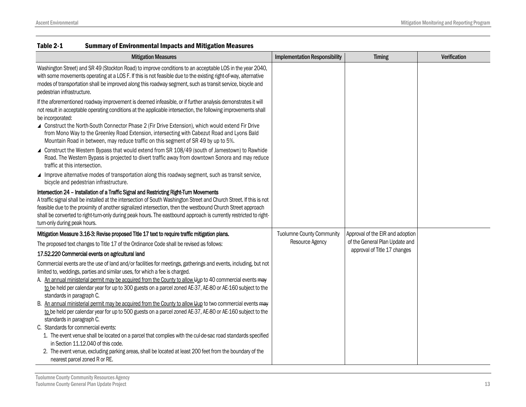| <b>Mitigation Measures</b>                                                                                                                                                                                                                                                                                                                                                                                                                                                                                                                  | <b>Implementation Responsibility</b> | <b>Timing</b>                    | Verification |
|---------------------------------------------------------------------------------------------------------------------------------------------------------------------------------------------------------------------------------------------------------------------------------------------------------------------------------------------------------------------------------------------------------------------------------------------------------------------------------------------------------------------------------------------|--------------------------------------|----------------------------------|--------------|
| Washington Street) and SR 49 (Stockton Road) to improve conditions to an acceptable LOS in the year 2040,<br>with some movements operating at a LOS F. If this is not feasible due to the existing right-of-way, alternative<br>modes of transportation shall be improved along this roadway segment, such as transit service, bicycle and<br>pedestrian infrastructure.                                                                                                                                                                    |                                      |                                  |              |
| If the aforementioned roadway improvement is deemed infeasible, or if further analysis demonstrates it will<br>not result in acceptable operating conditions at the applicable intersection, the following improvements shall<br>be incorporated:<br>▲ Construct the North-South Connector Phase 2 (Fir Drive Extension), which would extend Fir Drive<br>from Mono Way to the Greenley Road Extension, intersecting with Cabezut Road and Lyons Bald<br>Mountain Road in between, may reduce traffic on this segment of SR 49 by up to 5%. |                                      |                                  |              |
| △ Construct the Western Bypass that would extend from SR 108/49 (south of Jamestown) to Rawhide<br>Road. The Western Bypass is projected to divert traffic away from downtown Sonora and may reduce<br>traffic at this intersection.                                                                                                                                                                                                                                                                                                        |                                      |                                  |              |
| ▲ Improve alternative modes of transportation along this roadway segment, such as transit service,<br>bicycle and pedestrian infrastructure.                                                                                                                                                                                                                                                                                                                                                                                                |                                      |                                  |              |
| Intersection 24 - Installation of a Traffic Signal and Restricting Right-Turn Movements<br>A traffic signal shall be installed at the intersection of South Washington Street and Church Street. If this is not<br>feasible due to the proximity of another signalized intersection, then the westbound Church Street approach<br>shall be converted to right-turn-only during peak hours. The eastbound approach is currently restricted to right-<br>turn-only during peak hours.                                                         |                                      |                                  |              |
| Mitigation Measure 3.16-3: Revise proposed Title 17 text to require traffic mitigation plans.                                                                                                                                                                                                                                                                                                                                                                                                                                               | <b>Tuolumne County Community</b>     | Approval of the EIR and adoption |              |
| The proposed text changes to Title 17 of the Ordinance Code shall be revised as follows:                                                                                                                                                                                                                                                                                                                                                                                                                                                    | Resource Agency                      | of the General Plan Update and   |              |
| 17.52.220 Commercial events on agricultural land                                                                                                                                                                                                                                                                                                                                                                                                                                                                                            |                                      | approval of Title 17 changes     |              |
| Commercial events are the use of land and/or facilities for meetings, gatherings and events, including, but not<br>limited to, weddings, parties and similar uses, for which a fee is charged.                                                                                                                                                                                                                                                                                                                                              |                                      |                                  |              |
| A. An annual ministerial permit may be acquired from the County to allow Uup to 40 commercial events may<br>to be held per calendar year for up to 300 guests on a parcel zoned AE-37, AE-80 or AE-160 subject to the<br>standards in paragraph C.                                                                                                                                                                                                                                                                                          |                                      |                                  |              |
| B. An annual ministerial permit may be acquired from the County to allow Uup to two commercial events may<br>to be held per calendar year for up to 500 guests on a parcel zoned AE-37, AE-80 or AE-160 subject to the<br>standards in paragraph C.                                                                                                                                                                                                                                                                                         |                                      |                                  |              |
| C. Standards for commercial events:<br>1. The event venue shall be located on a parcel that complies with the cul-de-sac road standards specified<br>in Section 11.12.040 of this code.                                                                                                                                                                                                                                                                                                                                                     |                                      |                                  |              |
| 2. The event venue, excluding parking areas, shall be located at least 200 feet from the boundary of the<br>nearest parcel zoned R or RE.                                                                                                                                                                                                                                                                                                                                                                                                   |                                      |                                  |              |